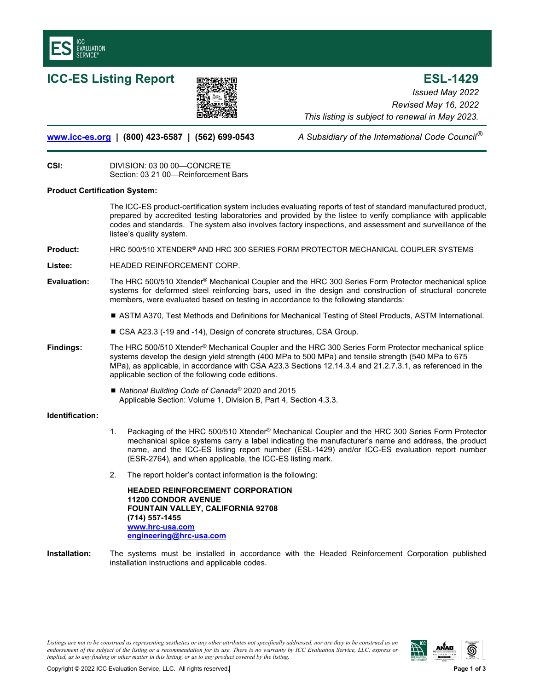

# **ICC-ES Listing Report ESL-1429**



*Issued May 2022 Revised May 16, 2022 This listing is subject to renewal in May 2023.* 

## **www.icc-es.org | (800) 423-6587 | (562) 699-0543** *A Subsidiary of the International Code Council* ®

**CSI:** DIVISION: 03 00 00—CONCRETE Section: 03 21 00—Reinforcement Bars

## **Product Certification System:**

The ICC-ES product-certification system includes evaluating reports of test of standard manufactured product, prepared by accredited testing laboratories and provided by the listee to verify compliance with applicable codes and standards. The system also involves factory inspections, and assessment and surveillance of the listee's quality system.

- **Product:** HRC 500/510 XTENDER® AND HRC 300 SERIES FORM PROTECTOR MECHANICAL COUPLER SYSTEMS
- **Listee:** HEADED REINFORCEMENT CORP.
- **Evaluation:** The HRC 500/510 Xtender® Mechanical Coupler and the HRC 300 Series Form Protector mechanical splice systems for deformed steel reinforcing bars, used in the design and construction of structural concrete members, were evaluated based on testing in accordance to the following standards:
	- ASTM A370, Test Methods and Definitions for Mechanical Testing of Steel Products, ASTM International.
	- CSA A23.3 (-19 and -14), Design of concrete structures, CSA Group.
- **Findings:** The HRC 500/510 Xtender® Mechanical Coupler and the HRC 300 Series Form Protector mechanical splice systems develop the design yield strength (400 MPa to 500 MPa) and tensile strength (540 MPa to 675 MPa), as applicable, in accordance with CSA A23.3 Sections 12.14.3.4 and 21.2.7.3.1, as referenced in the applicable section of the following code editions.
	- *National Building Code of Canada<sup>®</sup> 2020* and 2015 Applicable Section: Volume 1, Division B, Part 4, Section 4.3.3.

## **Identification:**

- 1. Packaging of the HRC 500/510 Xtender<sup>®</sup> Mechanical Coupler and the HRC 300 Series Form Protector mechanical splice systems carry a label indicating the manufacturer's name and address, the product name, and the ICC-ES listing report number (ESL-1429) and/or ICC-ES evaluation report number (ESR-2764), and when applicable, the ICC-ES listing mark.
- 2. The report holder's contact information is the following:

**HEADED REINFORCEMENT CORPORATION 11200 CONDOR AVENUE FOUNTAIN VALLEY, CALIFORNIA 92708 (714) 557-1455 www.hrc-usa.com engineering@hrc-usa.com**

**Installation:** The systems must be installed in accordance with the Headed Reinforcement Corporation published installation instructions and applicable codes.

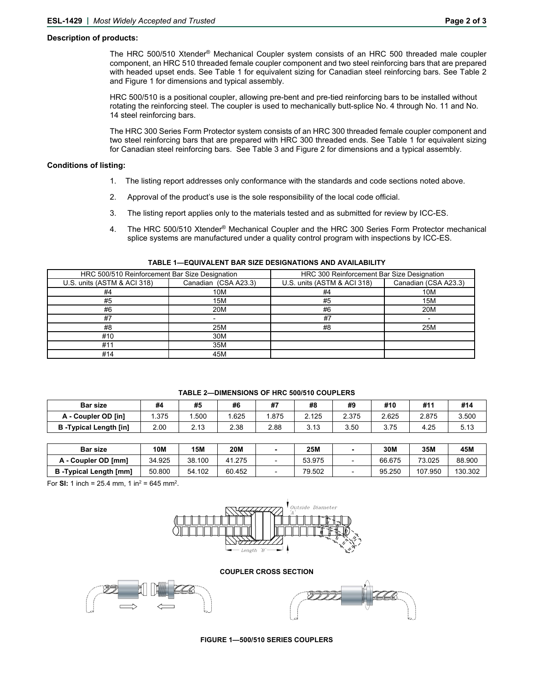### **Description of products:**

The HRC 500/510 Xtender® Mechanical Coupler system consists of an HRC 500 threaded male coupler component, an HRC 510 threaded female coupler component and two steel reinforcing bars that are prepared with headed upset ends. See Table 1 for equivalent sizing for Canadian steel reinforcing bars. See Table 2 and Figure 1 for dimensions and typical assembly.

 HRC 500/510 is a positional coupler, allowing pre-bent and pre-tied reinforcing bars to be installed without rotating the reinforcing steel. The coupler is used to mechanically butt-splice No. 4 through No. 11 and No. 14 steel reinforcing bars.

 The HRC 300 Series Form Protector system consists of an HRC 300 threaded female coupler component and two steel reinforcing bars that are prepared with HRC 300 threaded ends. See Table 1 for equivalent sizing for Canadian steel reinforcing bars. See Table 3 and Figure 2 for dimensions and a typical assembly.

#### **Conditions of listing:**

- 1. The listing report addresses only conformance with the standards and code sections noted above.
- 2. Approval of the product's use is the sole responsibility of the local code official.
- 3. The listing report applies only to the materials tested and as submitted for review by ICC-ES.
- 4. The HRC 500/510 Xtender<sup>®</sup> Mechanical Coupler and the HRC 300 Series Form Protector mechanical splice systems are manufactured under a quality control program with inspections by ICC-ES.

| HRC 500/510 Reinforcement Bar Size Designation |                      | HRC 300 Reinforcement Bar Size Designation |                      |  |  |
|------------------------------------------------|----------------------|--------------------------------------------|----------------------|--|--|
| U.S. units (ASTM & ACI 318)                    | Canadian (CSA A23.3) | U.S. units (ASTM & ACI 318)                | Canadian (CSA A23.3) |  |  |
| #4                                             | 10M                  | #4                                         | 10M                  |  |  |
| #5                                             | 15M                  | #5                                         | 15M                  |  |  |
| #6                                             | 20M                  | #6                                         | 20M                  |  |  |
| #7                                             |                      | #7                                         |                      |  |  |
| #8                                             | 25M                  | #8                                         | 25M                  |  |  |
| #10                                            | 30M                  |                                            |                      |  |  |
| #11                                            | 35M                  |                                            |                      |  |  |
| #14                                            | 45M                  |                                            |                      |  |  |

#### **TABLE 1—EQUIVALENT BAR SIZE DESIGNATIONS AND AVAILABILITY**

| <b>TABLE 2-DIMENSIONS OF HRC 500/510 COUPLERS</b> |      |      |      |      |       |       |       |       |       |
|---------------------------------------------------|------|------|------|------|-------|-------|-------|-------|-------|
| <b>Bar size</b>                                   | #4   | #5   | #6   | #    | #8    | #9    | #10   | #1٬   | #14   |
| A - Coupler OD [in]                               | .375 | .500 | .625 | .875 | 2.125 | 2.375 | 2.625 | 2.875 | 3.500 |

| <b>Bar size</b>               | 10M    | 15M    | 20M    | 25M    | 30M    | 35M     | 45M     |
|-------------------------------|--------|--------|--------|--------|--------|---------|---------|
| A - Coupler OD [mm]           | 34.925 | 38.100 | 41.275 | 53.975 | 66.675 | 73.025  | 88.900  |
| <b>B</b> -Typical Length [mm] | 50.800 | 54.102 | 60.452 | 79.502 | 95.250 | 107.950 | 130.302 |

**B -Typical Length [in]** | 2.00 | 2.13 | 2.38 | 2.88 | 3.13 | 3.50 | 3.75 | 4.25 | 5.13

For **SI:** 1 inch = 25.4 mm, 1 in<sup>2</sup> = 645 mm<sup>2</sup>.



**COUPLER CROSS SECTION** 





**FIGURE 1—500/510 SERIES COUPLERS**